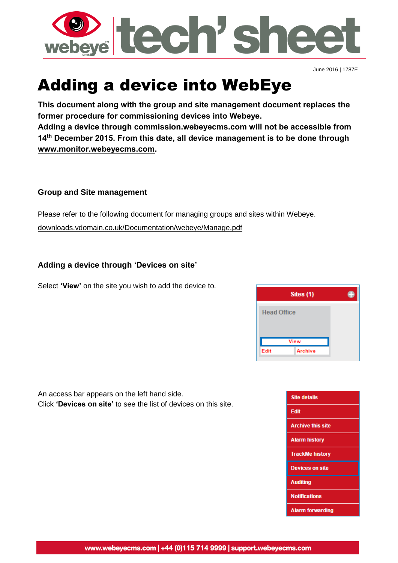

June 2016 | 1787E

# Adding a device into WebEye

**This document along with the group and site management document replaces the former procedure for commissioning devices into Webeye.**

**Adding a device through commission.webeyecms.com will not be accessible from 14th December 2015. From this date, all device management is to be done through [www.monitor.webeyecms.com.](http://www.monitor.webeyecms.com/)**

## **Group and Site management**

Please refer to the following document for managing groups and sites within Webeye.

[downloads.vdomain.co.uk/Documentation/webeye/Manage.pdf](http://downloads.vdomain.co.uk/Documentation/webeye/Manage.pdf)

## **Adding a device through 'Devices on site'**

Select **'View'** on the site you wish to add the device to.

| Sites (1)              |  |
|------------------------|--|
| <b>Head Office</b>     |  |
|                        |  |
| View                   |  |
| <b>Archive</b><br>Edit |  |

An access bar appears on the left hand side. Click **'Devices on site'** to see the list of devices on this site.

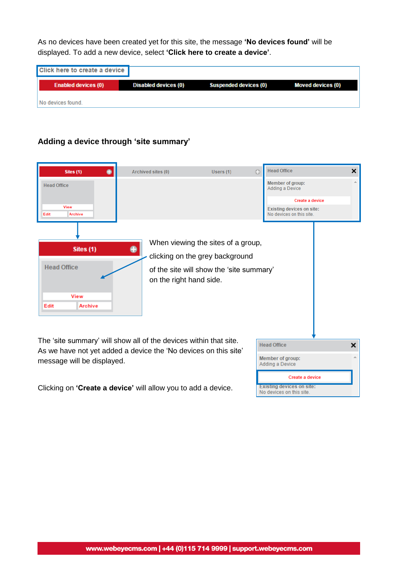As no devices have been created yet for this site, the message **'No devices found'** will be displayed. To add a new device, select **'Click here to create a device'**.

| Click here to create a device |                      |                              |                          |
|-------------------------------|----------------------|------------------------------|--------------------------|
| <b>Enabled devices (0)</b>    | Disabled devices (0) | <b>Suspended devices (0)</b> | <b>Moved devices (0)</b> |
| No devices found.             |                      |                              |                          |

# **Adding a device through 'site summary'**

| $\bullet$<br>Sites (1)                                                                                                               | Archived sites (0)      | Users (1)                                | o | <b>Head Office</b><br>×                                      |
|--------------------------------------------------------------------------------------------------------------------------------------|-------------------------|------------------------------------------|---|--------------------------------------------------------------|
| <b>Head Office</b>                                                                                                                   |                         |                                          |   | Member of group:<br><b>Adding a Device</b>                   |
|                                                                                                                                      |                         |                                          |   | Create a device                                              |
| <b>View</b><br><b>Archive</b><br>Edit                                                                                                |                         |                                          |   | <b>Existing devices on site:</b><br>No devices on this site. |
|                                                                                                                                      |                         |                                          |   |                                                              |
| Sites (1)                                                                                                                            | ●                       | When viewing the sites of a group,       |   |                                                              |
|                                                                                                                                      |                         | clicking on the grey background          |   |                                                              |
| <b>Head Office</b>                                                                                                                   | on the right hand side. | of the site will show the 'site summary' |   |                                                              |
| View                                                                                                                                 |                         |                                          |   |                                                              |
| Archive<br>Edit                                                                                                                      |                         |                                          |   |                                                              |
|                                                                                                                                      |                         |                                          |   |                                                              |
| The 'site summary' will show all of the devices within that site.<br>As we have not yet added a device the 'No devices on this site' |                         |                                          |   | ×<br><b>Head Office</b>                                      |
| message will be displayed.                                                                                                           |                         |                                          |   | Member of group:<br>Adding a Device                          |
|                                                                                                                                      |                         |                                          |   | Create a device                                              |
| Clicking on 'Create a device' will allow you to add a device.                                                                        |                         |                                          |   | <b>Existing devices on site:</b><br>No devices on this site. |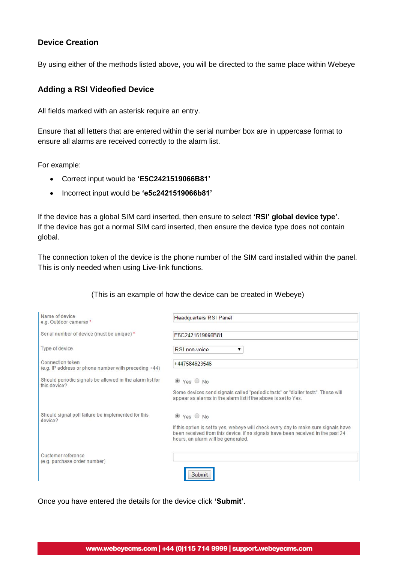## **Device Creation**

By using either of the methods listed above, you will be directed to the same place within Webeye

#### **Adding a RSI Videofied Device**

All fields marked with an asterisk require an entry.

Ensure that all letters that are entered within the serial number box are in uppercase format to ensure all alarms are received correctly to the alarm list.

For example:

- Correct input would be **'E5C2421519066B81'**
- Incorrect input would be **'e5c2421519066b81'**

If the device has a global SIM card inserted, then ensure to select **'RSI' global device type'**. If the device has got a normal SIM card inserted, then ensure the device type does not contain global.

The connection token of the device is the phone number of the SIM card installed within the panel. This is only needed when using Live-link functions.

#### (This is an example of how the device can be created in Webeye)

| Name of device<br>e.g. Outdoor cameras *                                 | <b>Headquarters RSI Panel</b>                                                                                                                                                                                |
|--------------------------------------------------------------------------|--------------------------------------------------------------------------------------------------------------------------------------------------------------------------------------------------------------|
| Serial number of device (must be unique) *                               | E5C2421519066B81                                                                                                                                                                                             |
| Type of device                                                           | RSI non-voice<br>▼                                                                                                                                                                                           |
| Connection token<br>(e.g. IP address or phone number with preceding +44) | +447584623546                                                                                                                                                                                                |
| Should periodic signals be allowed in the alarm list for<br>this device? | $\bullet$ Yes $\bullet$ No                                                                                                                                                                                   |
|                                                                          | Some devices send signals called "periodic tests" or "dialler tests". These will<br>appear as alarms in the alarm list if the above is set to Yes.                                                           |
| Should signal poll failure be implemented for this<br>device?            | $\bullet$ Yes $\circ$ No                                                                                                                                                                                     |
|                                                                          | If this option is set to yes, webeye will check every day to make sure signals have<br>been received from this device. If no signals have been received in the past 24<br>hours, an alarm will be generated. |
| Customer reference<br>(e.g. purchase order number)                       |                                                                                                                                                                                                              |
|                                                                          | Submit                                                                                                                                                                                                       |

Once you have entered the details for the device click **'Submit'**.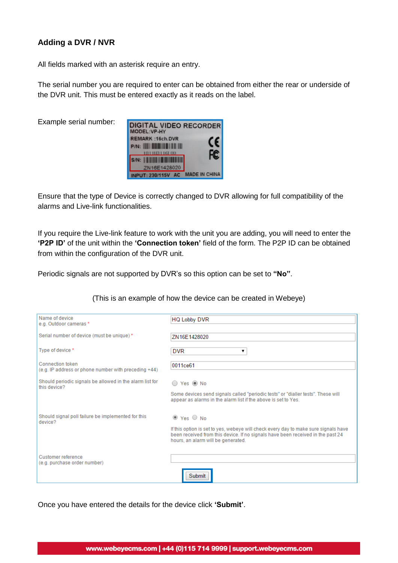# **Adding a DVR / NVR**

All fields marked with an asterisk require an entry.

The serial number you are required to enter can be obtained from either the rear or underside of the DVR unit. This must be entered exactly as it reads on the label.

Example serial number:

| <b>DIGITAL VIDEO RECORDER</b><br>MODEL:VP-HY |                      |
|----------------------------------------------|----------------------|
| <b>REMARK: 16ch.DVR</b>                      | CE                   |
| $P/N$ : $\blacksquare$                       |                      |
| 18111131161<br><b>S/N:                </b>   |                      |
| ZN16E1428020                                 |                      |
| UT: 230/115V                                 | <b>MADE IN CHINA</b> |

Ensure that the type of Device is correctly changed to DVR allowing for full compatibility of the alarms and Live-link functionalities.

If you require the Live-link feature to work with the unit you are adding, you will need to enter the **'P2P ID'** of the unit within the **'Connection token'** field of the form. The P2P ID can be obtained from within the configuration of the DVR unit.

Periodic signals are not supported by DVR's so this option can be set to **"No"**.

(This is an example of how the device can be created in Webeye)

| Name of device<br>e.g. Outdoor cameras *                                 | <b>HQ Lobby DVR</b>                                                                                                                                                                                          |
|--------------------------------------------------------------------------|--------------------------------------------------------------------------------------------------------------------------------------------------------------------------------------------------------------|
| Serial number of device (must be unique) *                               | ZN 16E1428020                                                                                                                                                                                                |
| Type of device *                                                         | <b>DVR</b><br>▼                                                                                                                                                                                              |
| Connection token<br>(e.g. IP address or phone number with preceding +44) | 0011ce61                                                                                                                                                                                                     |
| Should periodic signals be allowed in the alarm list for<br>this device? | ◯ Yes ◉ No                                                                                                                                                                                                   |
|                                                                          | Some devices send signals called "periodic tests" or "dialler tests". These will<br>appear as alarms in the alarm list if the above is set to Yes.                                                           |
| Should signal poll failure be implemented for this<br>device?            | $\bullet$ Yes $\circ$ No                                                                                                                                                                                     |
|                                                                          | If this option is set to yes, webeye will check every day to make sure signals have<br>been received from this device. If no signals have been received in the past 24<br>hours, an alarm will be generated. |
| Customer reference<br>(e.g. purchase order number)                       |                                                                                                                                                                                                              |
|                                                                          | Submit                                                                                                                                                                                                       |

Once you have entered the details for the device click **'Submit'**.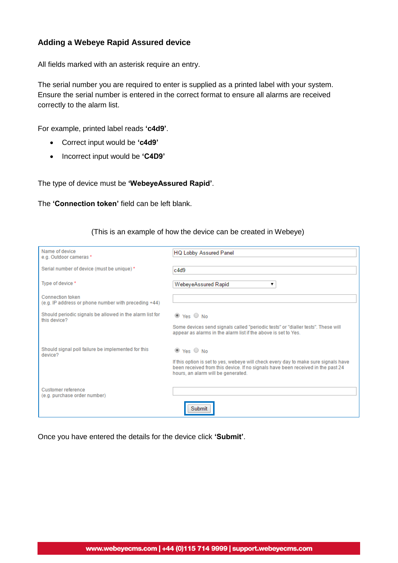## **Adding a Webeye Rapid Assured device**

All fields marked with an asterisk require an entry.

The serial number you are required to enter is supplied as a printed label with your system. Ensure the serial number is entered in the correct format to ensure all alarms are received correctly to the alarm list.

For example, printed label reads **'c4d9'**.

- Correct input would be **'c4d9'**
- Incorrect input would be 'C4D9'

The type of device must be **'WebeyeAssured Rapid'**.

The **'Connection token'** field can be left blank.

|  |  | (This is an example of how the device can be created in Webeye) |  |
|--|--|-----------------------------------------------------------------|--|
|  |  |                                                                 |  |

| Name of device<br>e.g. Outdoor cameras *                                 | <b>HQ Lobby Assured Panel</b>                                                                                                                                                                                |
|--------------------------------------------------------------------------|--------------------------------------------------------------------------------------------------------------------------------------------------------------------------------------------------------------|
| Serial number of device (must be unique) *                               | c4d9                                                                                                                                                                                                         |
| Type of device *                                                         | WebeyeAssured Rapid                                                                                                                                                                                          |
| Connection token<br>(e.g. IP address or phone number with preceding +44) |                                                                                                                                                                                                              |
| Should periodic signals be allowed in the alarm list for<br>this device? | $\bullet$ Yes $\circ$ No                                                                                                                                                                                     |
|                                                                          | Some devices send signals called "periodic tests" or "dialler tests". These will<br>appear as alarms in the alarm list if the above is set to Yes.                                                           |
| Should signal poll failure be implemented for this<br>device?            | $\bullet$ Yes $\circ$ No                                                                                                                                                                                     |
|                                                                          | If this option is set to yes, webeye will check every day to make sure signals have<br>been received from this device. If no signals have been received in the past 24<br>hours, an alarm will be generated. |
| Customer reference<br>(e.g. purchase order number)                       |                                                                                                                                                                                                              |
|                                                                          | Submit                                                                                                                                                                                                       |

Once you have entered the details for the device click **'Submit'**.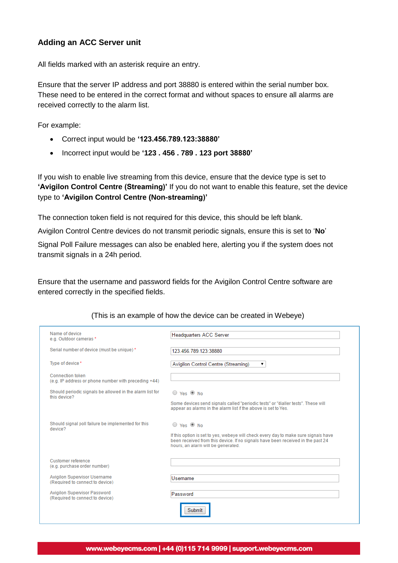## **Adding an ACC Server unit**

All fields marked with an asterisk require an entry.

Ensure that the server IP address and port 38880 is entered within the serial number box. These need to be entered in the correct format and without spaces to ensure all alarms are received correctly to the alarm list.

For example:

- Correct input would be **'123.456.789.123:38880'**
- Incorrect input would be **'123 . 456 . 789 . 123 port 38880'**

If you wish to enable live streaming from this device, ensure that the device type is set to **'Avigilon Control Centre (Streaming)'** If you do not want to enable this feature, set the device type to **'Avigilon Control Centre (Non-streaming)'**

The connection token field is not required for this device, this should be left blank.

Avigilon Control Centre devices do not transmit periodic signals, ensure this is set to '**No**'

Signal Poll Failure messages can also be enabled here, alerting you if the system does not transmit signals in a 24h period.

Ensure that the username and password fields for the Avigilon Control Centre software are entered correctly in the specified fields.

| Name of device<br>e.g. Outdoor cameras *                                 | <b>Headquarters ACC Server</b>                                                                                                                                                                                                        |
|--------------------------------------------------------------------------|---------------------------------------------------------------------------------------------------------------------------------------------------------------------------------------------------------------------------------------|
| Serial number of device (must be unique) *                               | 123.456.789.123:38880                                                                                                                                                                                                                 |
| Type of device *                                                         | Avigilon Control Centre (Streaming)<br>▼                                                                                                                                                                                              |
| Connection token<br>(e.g. IP address or phone number with preceding +44) |                                                                                                                                                                                                                                       |
| Should periodic signals be allowed in the alarm list for<br>this device? | $\bigcirc$ Yes $\circledcirc$ No                                                                                                                                                                                                      |
|                                                                          | Some devices send signals called "periodic tests" or "dialler tests". These will<br>appear as alarms in the alarm list if the above is set to Yes.                                                                                    |
| Should signal poll failure be implemented for this<br>device?            | ○ Yes <sup>●</sup> No<br>If this option is set to yes, webeye will check every day to make sure signals have<br>been received from this device. If no signals have been received in the past 24<br>hours, an alarm will be generated. |
| Customer reference<br>(e.g. purchase order number)                       |                                                                                                                                                                                                                                       |
| <b>Avigilon Supervisor Username</b><br>(Required to connect to device)   | Username                                                                                                                                                                                                                              |
| <b>Avigilon Supervisor Password</b><br>(Required to connect to device)   | Password<br>Submit                                                                                                                                                                                                                    |

(This is an example of how the device can be created in Webeye)

#### www.webeyecms.com | +44 (0)115 714 9999 | support.webeyecms.com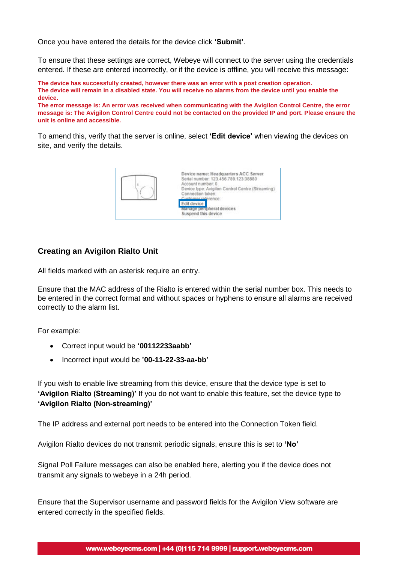Once you have entered the details for the device click **'Submit'**.

To ensure that these settings are correct, Webeye will connect to the server using the credentials entered. If these are entered incorrectly, or if the device is offline, you will receive this message:

**The device has successfully created, however there was an error with a post creation operation. The device will remain in a disabled state. You will receive no alarms from the device until you enable the device.**

**The error message is: An error was received when communicating with the Avigilon Control Centre, the error message is: The Avigilon Control Centre could not be contacted on the provided IP and port. Please ensure the unit is online and accessible.**

To amend this, verify that the server is online, select **'Edit device'** when viewing the devices on site, and verify the details.



## **Creating an Avigilon Rialto Unit**

All fields marked with an asterisk require an entry.

Ensure that the MAC address of the Rialto is entered within the serial number box. This needs to be entered in the correct format and without spaces or hyphens to ensure all alarms are received correctly to the alarm list.

For example:

- Correct input would be **'00112233aabb'**
- Incorrect input would be **'00-11-22-33-aa-bb'**

If you wish to enable live streaming from this device, ensure that the device type is set to **'Avigilon Rialto (Streaming)'** If you do not want to enable this feature, set the device type to **'Avigilon Rialto (Non-streaming)'**

The IP address and external port needs to be entered into the Connection Token field.

Avigilon Rialto devices do not transmit periodic signals, ensure this is set to **'No'**

Signal Poll Failure messages can also be enabled here, alerting you if the device does not transmit any signals to webeye in a 24h period.

Ensure that the Supervisor username and password fields for the Avigilon View software are entered correctly in the specified fields.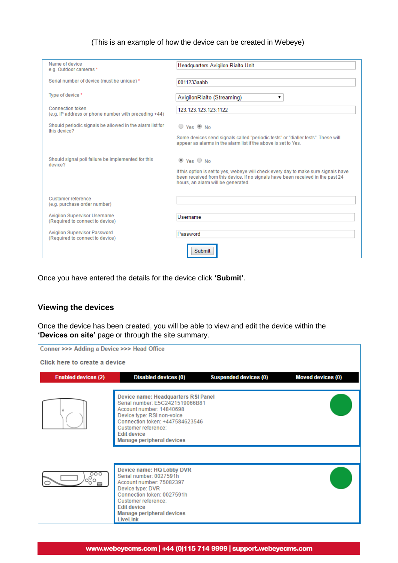#### (This is an example of how the device can be created in Webeye)

| Name of device<br>e.g. Outdoor cameras *                                 | Headquarters Avigilon Rialto Unit                                                                                                                                                                                                        |
|--------------------------------------------------------------------------|------------------------------------------------------------------------------------------------------------------------------------------------------------------------------------------------------------------------------------------|
| Serial number of device (must be unique) *                               | 0011233aabb                                                                                                                                                                                                                              |
| Type of device *                                                         | AvigilonRialto (Streaming)<br>▼                                                                                                                                                                                                          |
| Connection token<br>(e.g. IP address or phone number with preceding +44) | 123.123.123.123:1122                                                                                                                                                                                                                     |
| Should periodic signals be allowed in the alarm list for<br>this device? | $\circ$ Yes $\circledcirc$ No                                                                                                                                                                                                            |
|                                                                          | Some devices send signals called "periodic tests" or "dialler tests". These will<br>appear as alarms in the alarm list if the above is set to Yes.                                                                                       |
| Should signal poll failure be implemented for this<br>device?            | $\bullet$ Yes $\circ$ No<br>If this option is set to yes, webeye will check every day to make sure signals have<br>been received from this device. If no signals have been received in the past 24<br>hours, an alarm will be generated. |
| Customer reference<br>(e.g. purchase order number)                       |                                                                                                                                                                                                                                          |
| <b>Avigilon Supervisor Username</b><br>(Required to connect to device)   | Username                                                                                                                                                                                                                                 |
| <b>Avigilon Supervisor Password</b><br>(Required to connect to device)   | Password                                                                                                                                                                                                                                 |
|                                                                          | <b>Submit</b>                                                                                                                                                                                                                            |

Once you have entered the details for the device click **'Submit'**.

# **Viewing the devices**

Once the device has been created, you will be able to view and edit the device within the **'Devices on site'** page or through the site summary.

| Conner >>> Adding a Device >>> Head Office |                                                                                                                                                                                                                                               |                              |                          |
|--------------------------------------------|-----------------------------------------------------------------------------------------------------------------------------------------------------------------------------------------------------------------------------------------------|------------------------------|--------------------------|
| Click here to create a device              |                                                                                                                                                                                                                                               |                              |                          |
| <b>Enabled devices (2)</b>                 | <b>Disabled devices (0)</b>                                                                                                                                                                                                                   | <b>Suspended devices (0)</b> | <b>Moved devices (0)</b> |
|                                            | Device name: Headquarters RSI Panel<br>Serial number: E5C2421519066B81<br>Account number: 14840698<br>Device type: RSI non-voice<br>Connection token: +447584623546<br>Customer reference:<br><b>Edit device</b><br>Manage peripheral devices |                              |                          |
| $\frac{1}{200}$                            | Device name: HQ Lobby DVR<br>Serial number: 0027591h<br>Account number: 75082397<br>Device type: DVR<br>Connection token: 0027591h<br>Customer reference:<br><b>Edit device</b><br>Manage peripheral devices<br>LiveLink                      |                              |                          |

#### www.webeyecms.com | +44 (0)115 714 9999 | support.webeyecms.com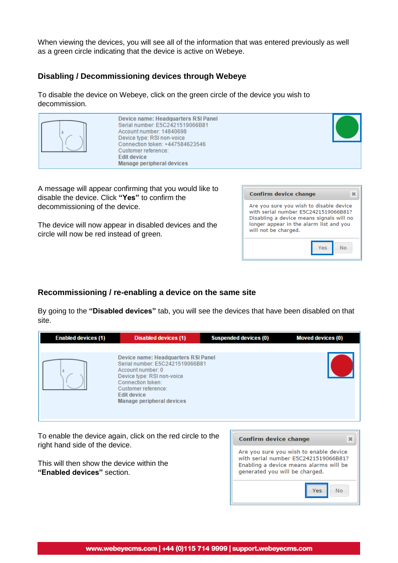When viewing the devices, you will see all of the information that was entered previously as well as a green circle indicating that the device is active on Webeye.

## **Disabling / Decommissioning devices through Webeye**

To disable the device on Webeye, click on the green circle of the device you wish to decommission.



A message will appear confirming that you would like to disable the device. Click **"Yes"** to confirm the decommissioning of the device.

The device will now appear in disabled devices and the circle will now be red instead of green.

| Confirm device change                                                                                                                                                                          |     |    |
|------------------------------------------------------------------------------------------------------------------------------------------------------------------------------------------------|-----|----|
| Are you sure you wish to disable device<br>with serial number E5C2421519066B81?<br>Disabling a device means signals will no<br>longer appear in the alarm list and you<br>will not be charged. |     |    |
|                                                                                                                                                                                                | Yes | No |

## **Recommissioning / re-enabling a device on the same site**

By going to the **"Disabled devices"** tab, you will see the devices that have been disabled on that site.

| <b>Enabled devices (1)</b>     | <b>Disabled devices (1)</b>                                                                                                                                                                                       | <b>Suspended devices (0)</b> | <b>Moved devices (0)</b>                               |
|--------------------------------|-------------------------------------------------------------------------------------------------------------------------------------------------------------------------------------------------------------------|------------------------------|--------------------------------------------------------|
|                                | Device name: Headquarters RSI Panel<br>Serial number: E5C2421519066B81<br>Account number: 0<br>Device type: RSI non-voice<br>Connection token:<br>Customer reference:<br>Edit device<br>Manage peripheral devices |                              |                                                        |
| right hand side of the device. | To enable the device again, click on the red circle to the                                                                                                                                                        | Confirm device change        | $\mathbf{x}$<br>Are you sure you wish to enable device |

This will then show the device within the **"Enabled devices"** section.

| Confirm device change                                                                                                                                      |  |  |  |  |
|------------------------------------------------------------------------------------------------------------------------------------------------------------|--|--|--|--|
| Are you sure you wish to enable device<br>with serial number E5C2421519066B81?<br>Enabling a device means alarms will be<br>generated you will be charged. |  |  |  |  |
|                                                                                                                                                            |  |  |  |  |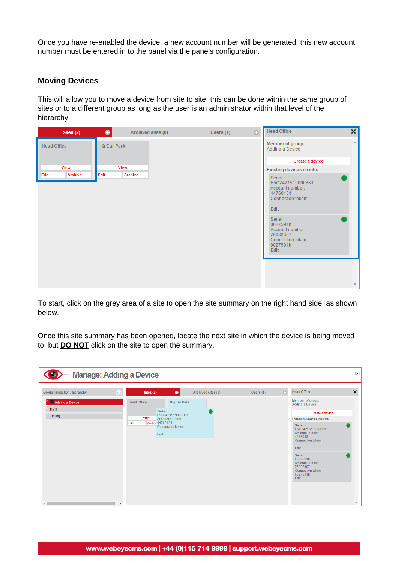Once you have re-enabled the device, a new account number will be generated, this new account number must be entered in to the panel via the panels configuration.

#### **Moving Devices**

This will allow you to move a device from site to site, this can be done within the same group of sites or to a different group as long as the user is an administrator within that level of the hierarchy.

| Sites (2)              | $\bullet$<br>Archived sites (0) | <b>Head Office</b><br>$\boldsymbol{\mathsf{x}}$<br>$\odot$<br>Users (1)                                                                                                                                                |
|------------------------|---------------------------------|------------------------------------------------------------------------------------------------------------------------------------------------------------------------------------------------------------------------|
| <b>Head Office</b>     | <b>HQ Car Park</b>              | $\triangle$<br>Member of group:<br>Adding a Device                                                                                                                                                                     |
|                        |                                 | Create a device                                                                                                                                                                                                        |
| View                   | View                            | <b>Existing devices on site:</b>                                                                                                                                                                                       |
| <b>Archive</b><br>Edit | <b>Archive</b><br>Edit          | Serial:<br>E5C2421519066B81<br>Account number:<br>44760131<br>Connection token:<br>Edit<br>Serial:<br>0027591h<br>Account number:<br>75082397<br>Connection token:<br>0027591h<br><b>Edit</b><br>$\overline{\nabla}$ . |

To start, click on the grey area of a site to open the site summary on the right hand side, as shown below.

Once this site summary has been opened, locate the next site in which the device is being moved to, but **DO NOT** click on the site to open the summary.

| <b>◆ &gt; Manage: Adding a Device</b> |    |                                        |                          |                    |           |          |                                                                                             | Last                      |
|---------------------------------------|----|----------------------------------------|--------------------------|--------------------|-----------|----------|---------------------------------------------------------------------------------------------|---------------------------|
| Group navigation / hierarchy          | E. | Sites (2)                              | $\bullet$                | Archived sites (0) | Users (1) | $\oplus$ | <b>Head Office</b>                                                                          | $\boldsymbol{\mathsf{x}}$ |
| Adding a Device<br><b>DVR</b>         |    | <b>Head Office</b>                     | <b>HQ Car Park</b>       |                    |           |          | Member of group:<br>Adding a Device                                                         | $\Delta$                  |
| Testing                               |    | Serial:                                | E5C2421519066B81         |                    |           |          | Create a device                                                                             |                           |
|                                       |    | View<br><b>Archiv 44760131</b><br>Edit | Account number:          |                    |           |          | Existing devices on site:                                                                   |                           |
|                                       |    | Edit                                   | <b>Connection token:</b> |                    |           |          | Serial:<br>E5C2421519066B81<br>Account number:<br>44760131<br>Connection token:<br>Edit     |                           |
|                                       |    |                                        |                          |                    |           |          | Serial:<br>0027591h<br>Account number:<br>75082397<br>Connection token:<br>0027591h<br>Edit |                           |
|                                       |    |                                        |                          |                    |           |          |                                                                                             | $\overline{\nabla}$       |